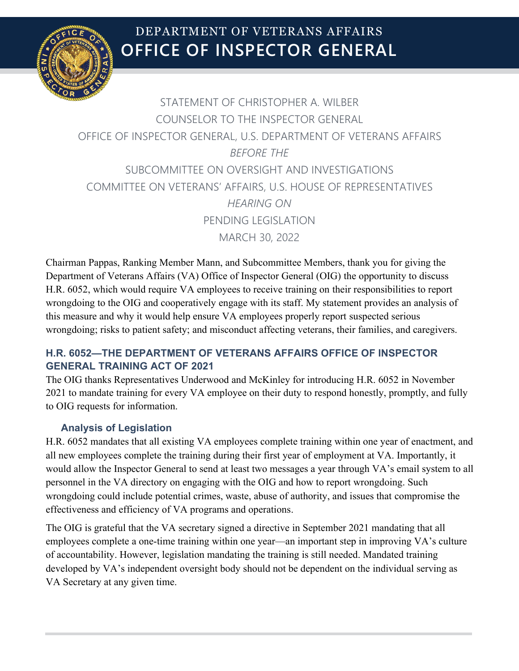

# **OFFICE OF INSPECTOR GENERAL** DEPARTMENT OF VETERANS AFFAIRS

## STATEMENT OF CHRISTOPHER A. WILBER COUNSELOR TO THE INSPECTOR GENERAL OFFICE OF INSPECTOR GENERAL, U.S. DEPARTMENT OF VETERANS AFFAIRS *BEFORE THE* SUBCOMMITTEE ON OVERSIGHT AND INVESTIGATIONS COMMITTEE ON VETERANS' AFFAIRS, U.S. HOUSE OF REPRESENTATIVES *HEARING ON* PENDING LEGISLATION MARCH 30, 2022

Chairman Pappas, Ranking Member Mann, and Subcommittee Members, thank you for giving the Department of Veterans Affairs (VA) Office of Inspector General (OIG) the opportunity to discuss H.R. 6052, which would require VA employees to receive training on their responsibilities to report wrongdoing to the OIG and cooperatively engage with its staff. My statement provides an analysis of this measure and why it would help ensure VA employees properly report suspected serious wrongdoing; risks to patient safety; and misconduct affecting veterans, their families, and caregivers.

### **H.R. 6052—THE DEPARTMENT OF VETERANS AFFAIRS OFFICE OF INSPECTOR GENERAL TRAINING ACT OF 2021**

The OIG thanks Representatives Underwood and McKinley for introducing H.R. 6052 in November 2021 to mandate training for every VA employee on their duty to respond honestly, promptly, and fully to OIG requests for information.

#### **Analysis of Legislation**

H.R. 6052 mandates that all existing VA employees complete training within one year of enactment, and all new employees complete the training during their first year of employment at VA. Importantly, it would allow the Inspector General to send at least two messages a year through VA's email system to all personnel in the VA directory on engaging with the OIG and how to report wrongdoing. Such wrongdoing could include potential crimes, waste, abuse of authority, and issues that compromise the effectiveness and efficiency of VA programs and operations.

The OIG is grateful that the VA secretary signed a directive in September 2021 mandating that all employees complete a one-time training within one year—an important step in improving VA's culture of accountability. However, legislation mandating the training is still needed. Mandated training developed by VA's independent oversight body should not be dependent on the individual serving as VA Secretary at any given time.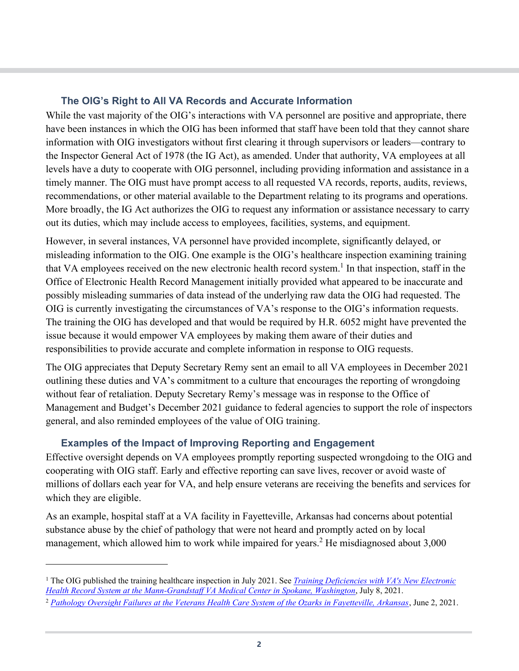#### **The OIG's Right to All VA Records and Accurate Information**

While the vast majority of the OIG's interactions with VA personnel are positive and appropriate, there have been instances in which the OIG has been informed that staff have been told that they cannot share information with OIG investigators without first clearing it through supervisors or leaders—contrary to the Inspector General Act of 1978 (the IG Act), as amended. Under that authority, VA employees at all levels have a duty to cooperate with OIG personnel, including providing information and assistance in a timely manner. The OIG must have prompt access to all requested VA records, reports, audits, reviews, recommendations, or other material available to the Department relating to its programs and operations. More broadly, the IG Act authorizes the OIG to request any information or assistance necessary to carry out its duties, which may include access to employees, facilities, systems, and equipment.

However, in several instances, VA personnel have provided incomplete, significantly delayed, or misleading information to the OIG. One example is the OIG's healthcare inspection examining training that VA employees received on the new electronic health record system.<sup>[1](#page-1-0)</sup> In that inspection, staff in the Office of Electronic Health Record Management initially provided what appeared to be inaccurate and possibly misleading summaries of data instead of the underlying raw data the OIG had requested. The OIG is currently investigating the circumstances of VA's response to the OIG's information requests. The training the OIG has developed and that would be required by H.R. 6052 might have prevented the issue because it would empower VA employees by making them aware of their duties and responsibilities to provide accurate and complete information in response to OIG requests.

The OIG appreciates that Deputy Secretary Remy sent an email to all VA employees in December 2021 outlining these duties and VA's commitment to a culture that encourages the reporting of wrongdoing without fear of retaliation. Deputy Secretary Remy's message was in response to the Office of Management and Budget's December 2021 guidance to federal agencies to support the role of inspectors general, and also reminded employees of the value of OIG training.

#### **Examples of the Impact of Improving Reporting and Engagement**

Effective oversight depends on VA employees promptly reporting suspected wrongdoing to the OIG and cooperating with OIG staff. Early and effective reporting can save lives, recover or avoid waste of millions of dollars each year for VA, and help ensure veterans are receiving the benefits and services for which they are eligible.

As an example, hospital staff at a VA facility in Fayetteville, Arkansas had concerns about potential substance abuse by the chief of pathology that were not heard and promptly acted on by local management, which allowed him to work while impaired for years.<sup>[2](#page-1-1)</sup> He misdiagnosed about 3,000

<span id="page-1-0"></span><sup>1</sup> The OIG published the training healthcare inspection in July 2021. See *[Training Deficiencies with VA's New Electronic](https://www.va.gov/oig/pubs/VAOIG-20-01930-183.pdf)  [Health Record System at the Mann-Grandstaff VA Medical Center in Spokane, Washington](https://www.va.gov/oig/pubs/VAOIG-20-01930-183.pdf)*, July 8, 2021.

<span id="page-1-1"></span><sup>2</sup> *[Pathology Oversight Failures at the Veterans Health Care System of the Ozarks in Fayetteville, Arkansas](https://www.va.gov/oig/pubs/VAOIG-18-02496-157.pdf)*, June 2, 2021.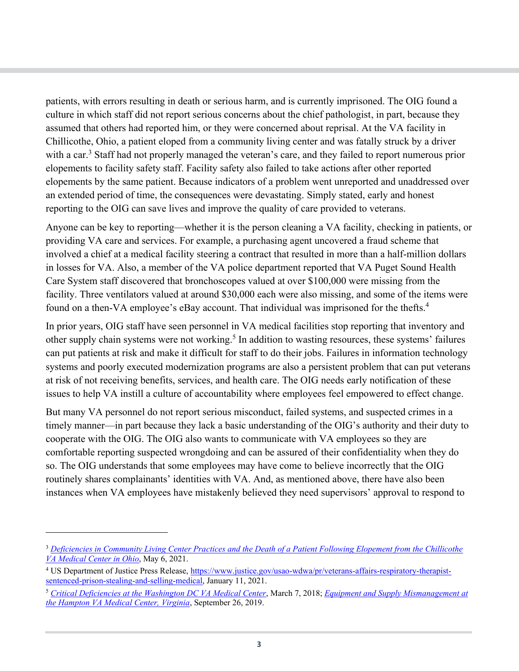patients, with errors resulting in death or serious harm, and is currently imprisoned. The OIG found a culture in which staff did not report serious concerns about the chief pathologist, in part, because they assumed that others had reported him, or they were concerned about reprisal. At the VA facility in Chillicothe, Ohio, a patient eloped from a community living center and was fatally struck by a driver with a car.<sup>[3](#page-2-0)</sup> Staff had not properly managed the veteran's care, and they failed to report numerous prior elopements to facility safety staff. Facility safety also failed to take actions after other reported elopements by the same patient. Because indicators of a problem went unreported and unaddressed over an extended period of time, the consequences were devastating. Simply stated, early and honest reporting to the OIG can save lives and improve the quality of care provided to veterans.

Anyone can be key to reporting—whether it is the person cleaning a VA facility, checking in patients, or providing VA care and services. For example, a purchasing agent uncovered a fraud scheme that involved a chief at a medical facility steering a contract that resulted in more than a half-million dollars in losses for VA. Also, a member of the VA police department reported that VA Puget Sound Health Care System staff discovered that bronchoscopes valued at over \$100,000 were missing from the facility. Three ventilators valued at around \$30,000 each were also missing, and some of the items were found on a then-VA employee's eBay account. That individual was imprisoned for the thefts.<sup>[4](#page-2-1)</sup>

In prior years, OIG staff have seen personnel in VA medical facilities stop reporting that inventory and other supply chain systems were not working.<sup>[5](#page-2-2)</sup> In addition to wasting resources, these systems' failures can put patients at risk and make it difficult for staff to do their jobs. Failures in information technology systems and poorly executed modernization programs are also a persistent problem that can put veterans at risk of not receiving benefits, services, and health care. The OIG needs early notification of these issues to help VA instill a culture of accountability where employees feel empowered to effect change.

But many VA personnel do not report serious misconduct, failed systems, and suspected crimes in a timely manner—in part because they lack a basic understanding of the OIG's authority and their duty to cooperate with the OIG. The OIG also wants to communicate with VA employees so they are comfortable reporting suspected wrongdoing and can be assured of their confidentiality when they do so. The OIG understands that some employees may have come to believe incorrectly that the OIG routinely shares complainants' identities with VA. And, as mentioned above, there have also been instances when VA employees have mistakenly believed they need supervisors' approval to respond to

<span id="page-2-0"></span><sup>3</sup> *[Deficiencies in Community Living Center Practices and the Death of a Patient Following Elopement from the Chillicothe](https://www.va.gov/oig/pubs/VAOIG-20-01523-102.pdf)  [VA Medical Center in Ohio](https://www.va.gov/oig/pubs/VAOIG-20-01523-102.pdf)*, May 6, 2021.

<span id="page-2-1"></span><sup>4</sup> US Department of Justice Press Release, [https://www.justice.gov/usao-wdwa/pr/veterans-affairs-respiratory-therapist](https://www.justice.gov/usao-wdwa/pr/veterans-affairs-respiratory-therapist-sentenced-prison-stealing-and-selling-medical)[sentenced-prison-stealing-and-selling-medical,](https://www.justice.gov/usao-wdwa/pr/veterans-affairs-respiratory-therapist-sentenced-prison-stealing-and-selling-medical) January 11, 2021.

<span id="page-2-2"></span><sup>5</sup> *[Critical Deficiencies at the Washington DC VA Medical Center](https://www.va.gov/oig/pubs/VAOIG-17-02644-130.pdf)*, March 7, 2018; *[Equipment and Supply Mismanagement at](https://www.va.gov/oig/pubs/VAOIG-19-00260-215.pdf)  [the Hampton VA Medical Center, Virginia](https://www.va.gov/oig/pubs/VAOIG-19-00260-215.pdf)*, September 26, 2019.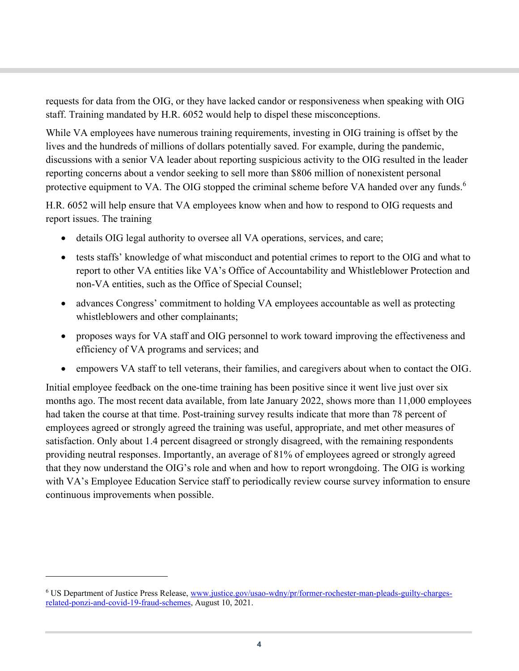requests for data from the OIG, or they have lacked candor or responsiveness when speaking with OIG staff. Training mandated by H.R. 6052 would help to dispel these misconceptions.

While VA employees have numerous training requirements, investing in OIG training is offset by the lives and the hundreds of millions of dollars potentially saved. For example, during the pandemic, discussions with a senior VA leader about reporting suspicious activity to the OIG resulted in the leader reporting concerns about a vendor seeking to sell more than \$806 million of nonexistent personal protective equipment to VA. The OIG stopped the criminal scheme before VA handed over any funds.<sup>[6](#page-3-0)</sup>

H.R. 6052 will help ensure that VA employees know when and how to respond to OIG requests and report issues. The training

- details OIG legal authority to oversee all VA operations, services, and care;
- · tests staffs' knowledge of what misconduct and potential crimes to report to the OIG and what to report to other VA entities like VA's Office of Accountability and Whistleblower Protection and non-VA entities, such as the Office of Special Counsel;
- advances Congress' commitment to holding VA employees accountable as well as protecting whistleblowers and other complainants;
- · proposes ways for VA staff and OIG personnel to work toward improving the effectiveness and efficiency of VA programs and services; and
- empowers VA staff to tell veterans, their families, and caregivers about when to contact the OIG.

Initial employee feedback on the one-time training has been positive since it went live just over six months ago. The most recent data available, from late January 2022, shows more than 11,000 employees had taken the course at that time. Post-training survey results indicate that more than 78 percent of employees agreed or strongly agreed the training was useful, appropriate, and met other measures of satisfaction. Only about 1.4 percent disagreed or strongly disagreed, with the remaining respondents providing neutral responses. Importantly, an average of 81% of employees agreed or strongly agreed that they now understand the OIG's role and when and how to report wrongdoing. The OIG is working with VA's Employee Education Service staff to periodically review course survey information to ensure continuous improvements when possible.

<span id="page-3-0"></span><sup>6</sup> US Department of Justice Press Release, [www.justice.gov/usao-wdny/pr/former-rochester-man-pleads-guilty-charges](https://www.justice.gov/usao-wdny/pr/former-rochester-man-pleads-guilty-charges-related-ponzi-and-covid-19-fraud-schemes)[related-ponzi-and-covid-19-fraud-schemes](https://www.justice.gov/usao-wdny/pr/former-rochester-man-pleads-guilty-charges-related-ponzi-and-covid-19-fraud-schemes), August 10, 2021.